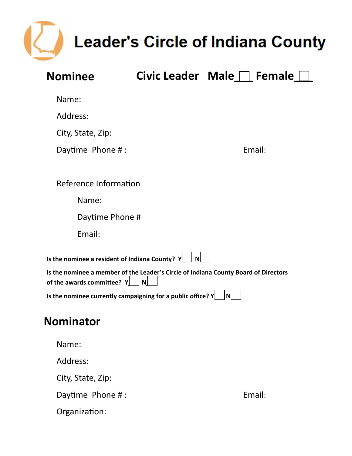

| <b>Nominee</b>                                                |   | Civic Leader Male <sup>1</sup> Female                                               |
|---------------------------------------------------------------|---|-------------------------------------------------------------------------------------|
| Name:                                                         |   |                                                                                     |
| Address:                                                      |   |                                                                                     |
| City, State, Zip:                                             |   |                                                                                     |
| Daytime Phone #:                                              |   | Email:                                                                              |
|                                                               |   |                                                                                     |
| Reference Information                                         |   |                                                                                     |
| Name:                                                         |   |                                                                                     |
| Daytime Phone #                                               |   |                                                                                     |
| Email:                                                        |   |                                                                                     |
| Is the nominee a resident of Indiana County? $Y$              | N |                                                                                     |
| of the awards committee? $Y$                                  | N | Is the nominee a member of the Leader's Circle of Indiana County Board of Directors |
| Is the nominee currently campaigning for a public office? $Y$ |   | N                                                                                   |
| Nominator                                                     |   |                                                                                     |
| Name:                                                         |   |                                                                                     |
| Address:                                                      |   |                                                                                     |
| City, State, Zip:                                             |   |                                                                                     |

Daytime Phone #: Sample 2014 and 2014 and 2014 and 2014 and 2014 and 2014 and 2014 and 2014 and 2014 and 2014 and 2014 and 2014 and 2014 and 2014 and 2014 and 2014 and 2014 and 2014 and 2014 and 2014 and 2014 and 2014 and

Organization: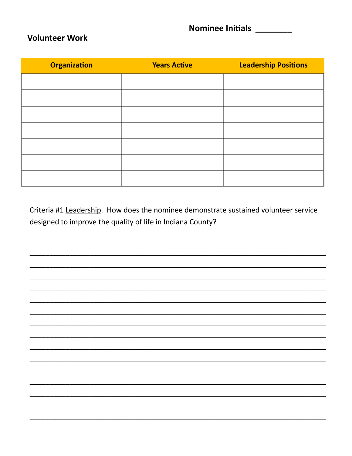**Nominee Initials** 

## **Volunteer Work**

| <b>Organization</b> | <b>Years Active</b> | <b>Leadership Positions</b> |
|---------------------|---------------------|-----------------------------|
|                     |                     |                             |
|                     |                     |                             |
|                     |                     |                             |
|                     |                     |                             |
|                     |                     |                             |
|                     |                     |                             |
|                     |                     |                             |

Criteria #1 Leadership. How does the nominee demonstrate sustained volunteer service designed to improve the quality of life in Indiana County?

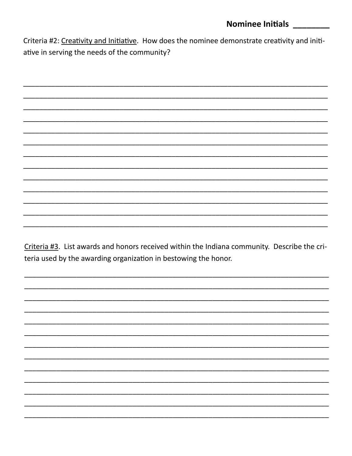## **Nominee Initials**

Criteria #2: Creativity and Initiative. How does the nominee demonstrate creativity and initiative in serving the needs of the community?

Criteria #3. List awards and honors received within the Indiana community. Describe the criteria used by the awarding organization in bestowing the honor.